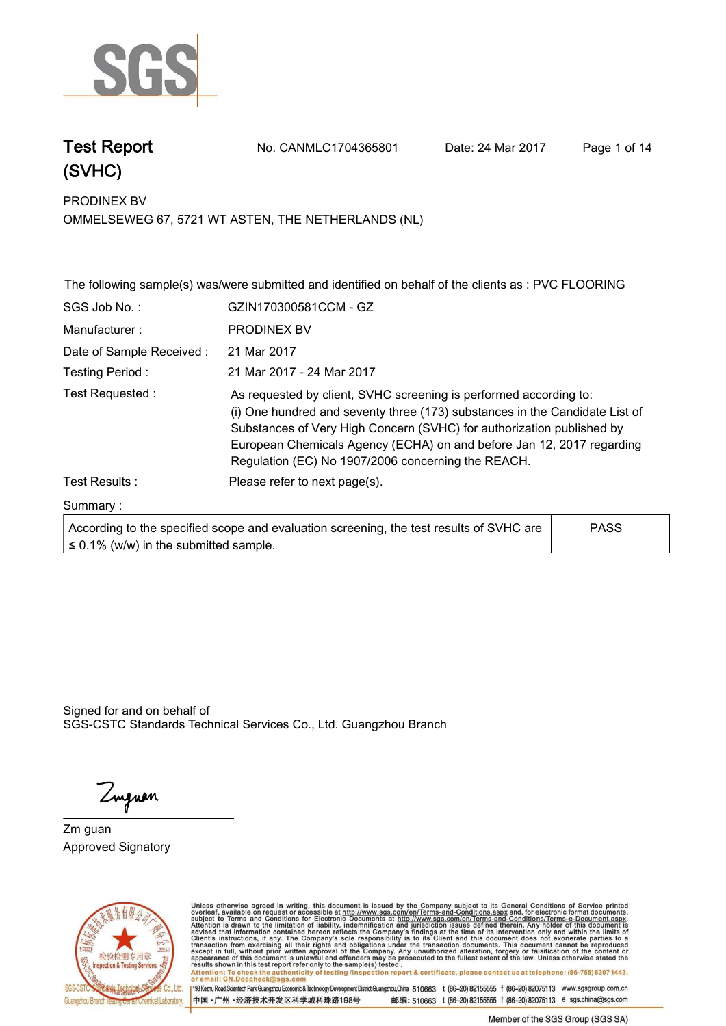

## **(SVHC)**

**Test Report. No. CANMLC1704365801 Date: 24 Mar 2017. Page 1 of 14.**

**PRODINEX BV. OMMELSEWEG 67, 5721 WT ASTEN, THE NETHERLANDS (NL)**

|                                            | The following sample(s) was/were submitted and identified on behalf of the clients as : PVC FLOORING                                                                                                                                                                                                                                                     |             |  |
|--------------------------------------------|----------------------------------------------------------------------------------------------------------------------------------------------------------------------------------------------------------------------------------------------------------------------------------------------------------------------------------------------------------|-------------|--|
| SGS Job No.:                               | GZIN170300581CCM - GZ                                                                                                                                                                                                                                                                                                                                    |             |  |
| Manufacturer:                              | <b>PRODINEX BV</b>                                                                                                                                                                                                                                                                                                                                       |             |  |
| Date of Sample Received:                   | 21 Mar 2017                                                                                                                                                                                                                                                                                                                                              |             |  |
| Testing Period:                            | 21 Mar 2017 - 24 Mar 2017                                                                                                                                                                                                                                                                                                                                |             |  |
| Test Requested:                            | As requested by client, SVHC screening is performed according to:<br>(i) One hundred and seventy three (173) substances in the Candidate List of<br>Substances of Very High Concern (SVHC) for authorization published by<br>European Chemicals Agency (ECHA) on and before Jan 12, 2017 regarding<br>Regulation (EC) No 1907/2006 concerning the REACH. |             |  |
| Test Results :                             | Please refer to next page(s).                                                                                                                                                                                                                                                                                                                            |             |  |
| Summary:                                   |                                                                                                                                                                                                                                                                                                                                                          |             |  |
| $\leq$ 0.1% (w/w) in the submitted sample. | According to the specified scope and evaluation screening, the test results of SVHC are                                                                                                                                                                                                                                                                  | <b>PASS</b> |  |

Signed for and on behalf of SGS-CSTC Standards Technical Services Co., Ltd. Guangzhou Branch.

Zuguan

**Zm guan. Approved Signatory. . .**



Unless otherwise agreed in writing, this document is issued by the Company subject to its General Conditions of Service printed<br>overleaf, available on request or accessible at http://www.sgs.com/en/Terms-and-Conditions.asp Attention: To check the authenticity of testing /inspection report & certificate, please contact us at telephone: (86-755) 8307 1443,<br>Attention: To check the authenticity of testing /inspection report & certificate, please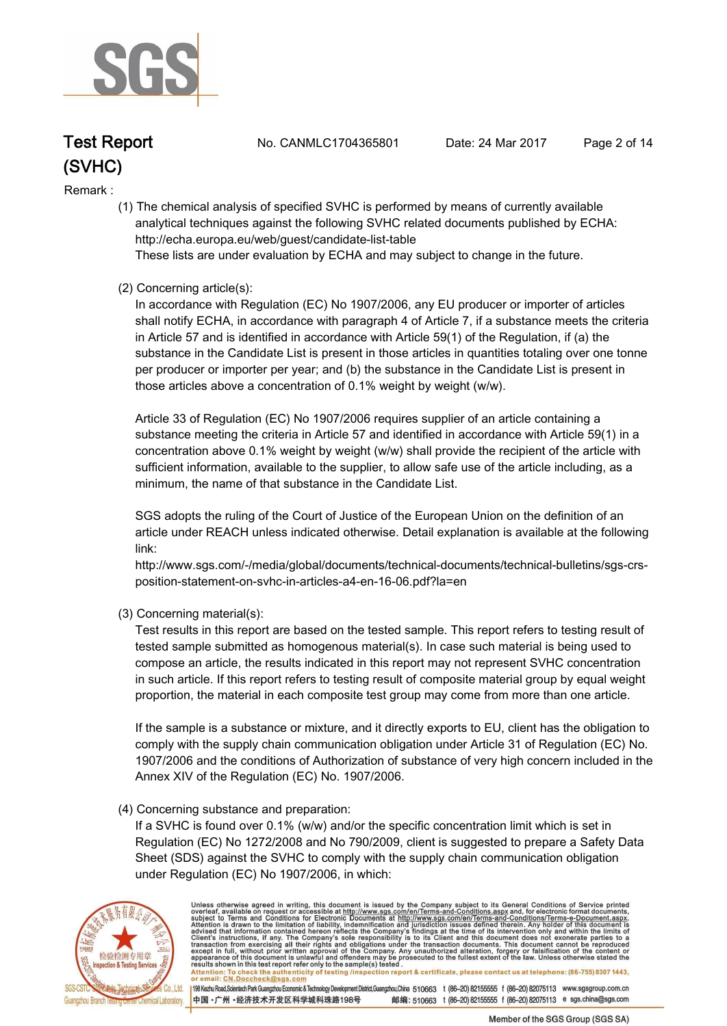

# **(SVHC)**

**Test Report. No. CANMLC1704365801 Date: 24 Mar 2017. Page 2 of 14.**

#### **Remark :.**

 **(1) The chemical analysis of specified SVHC is performed by means of currently available analytical techniques against the following SVHC related documents published by ECHA: http://echa.europa.eu/web/guest/candidate-list-table** 

 **These lists are under evaluation by ECHA and may subject to change in the future.** 

#### **(2) Concerning article(s):**

 **In accordance with Regulation (EC) No 1907/2006, any EU producer or importer of articles shall notify ECHA, in accordance with paragraph 4 of Article 7, if a substance meets the criteria in Article 57 and is identified in accordance with Article 59(1) of the Regulation, if (a) the substance in the Candidate List is present in those articles in quantities totaling over one tonne per producer or importer per year; and (b) the substance in the Candidate List is present in those articles above a concentration of 0.1% weight by weight (w/w).** 

 **Article 33 of Regulation (EC) No 1907/2006 requires supplier of an article containing a substance meeting the criteria in Article 57 and identified in accordance with Article 59(1) in a concentration above 0.1% weight by weight (w/w) shall provide the recipient of the article with sufficient information, available to the supplier, to allow safe use of the article including, as a minimum, the name of that substance in the Candidate List.** 

 **SGS adopts the ruling of the Court of Justice of the European Union on the definition of an article under REACH unless indicated otherwise. Detail explanation is available at the following link:** 

 **http://www.sgs.com/-/media/global/documents/technical-documents/technical-bulletins/sgs-crs position-statement-on-svhc-in-articles-a4-en-16-06.pdf?la=en** 

 **(3) Concerning material(s):** 

 **Test results in this report are based on the tested sample. This report refers to testing result of tested sample submitted as homogenous material(s). In case such material is being used to compose an article, the results indicated in this report may not represent SVHC concentration in such article. If this report refers to testing result of composite material group by equal weight proportion, the material in each composite test group may come from more than one article.** 

 **If the sample is a substance or mixture, and it directly exports to EU, client has the obligation to comply with the supply chain communication obligation under Article 31 of Regulation (EC) No. 1907/2006 and the conditions of Authorization of substance of very high concern included in the Annex XIV of the Regulation (EC) No. 1907/2006.** 

#### **(4) Concerning substance and preparation:**

 **If a SVHC is found over 0.1% (w/w) and/or the specific concentration limit which is set in Regulation (EC) No 1272/2008 and No 790/2009, client is suggested to prepare a Safety Data Sheet (SDS) against the SVHC to comply with the supply chain communication obligation under Regulation (EC) No 1907/2006, in which:** 



Unless otherwise agreed in writing, this document is issued by the Company subject to its General Conditions of Service printed overleaf, available on request or accessible at http://www.sgs.com/en/Terms-and-Conditions.asp Attention: To check the authenticity of testing /inspection report & certificate, please contact us at telephone: (86-755) 8307 1443,<br>or email: CN.Doccheck@sgs.com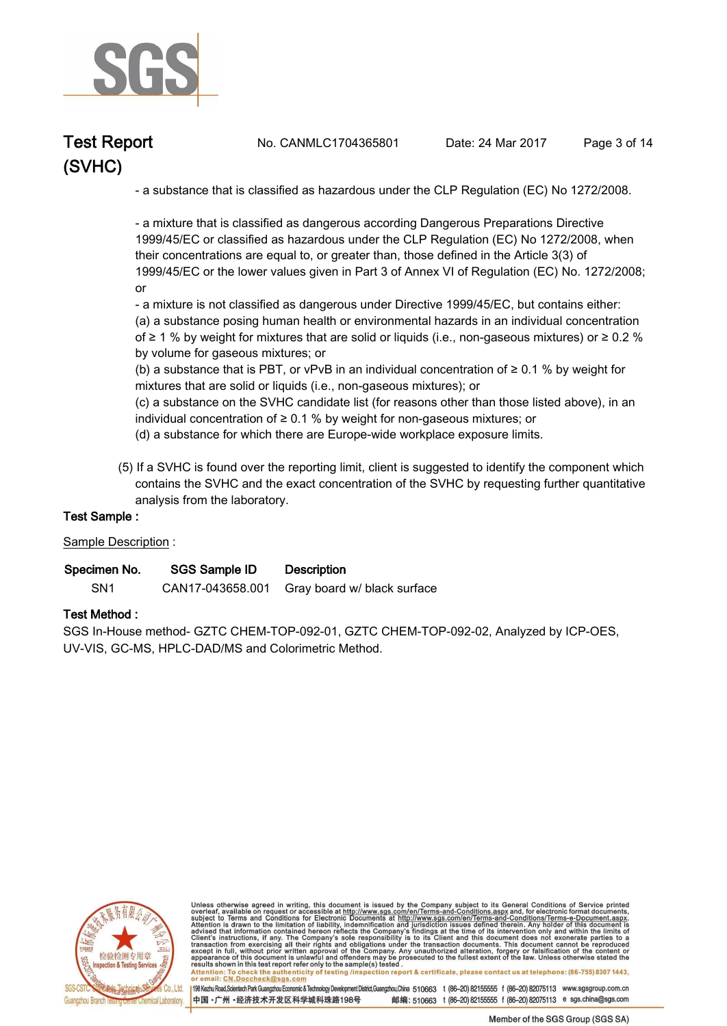

# **(SVHC)**

**Test Report. No. CANMLC1704365801 Date: 24 Mar 2017. Page 3 of 14.**

 **- a substance that is classified as hazardous under the CLP Regulation (EC) No 1272/2008.** 

 **- a mixture that is classified as dangerous according Dangerous Preparations Directive 1999/45/EC or classified as hazardous under the CLP Regulation (EC) No 1272/2008, when their concentrations are equal to, or greater than, those defined in the Article 3(3) of 1999/45/EC or the lower values given in Part 3 of Annex VI of Regulation (EC) No. 1272/2008; or** 

 **- a mixture is not classified as dangerous under Directive 1999/45/EC, but contains either: (a) a substance posing human health or environmental hazards in an individual concentration of ≥ 1 % by weight for mixtures that are solid or liquids (i.e., non-gaseous mixtures) or ≥ 0.2 % by volume for gaseous mixtures; or** 

 **(b) a substance that is PBT, or vPvB in an individual concentration of ≥ 0.1 % by weight for mixtures that are solid or liquids (i.e., non-gaseous mixtures); or** 

 **(c) a substance on the SVHC candidate list (for reasons other than those listed above), in an individual concentration of ≥ 0.1 % by weight for non-gaseous mixtures; or** 

- **(d) a substance for which there are Europe-wide workplace exposure limits.**
- **(5) If a SVHC is found over the reporting limit, client is suggested to identify the component which contains the SVHC and the exact concentration of the SVHC by requesting further quantitative analysis from the laboratory.**

#### **Test Sample :.**

#### **Sample Description :.**

| Specimen No.    | SGS Sample ID    | <b>Description</b>          |
|-----------------|------------------|-----------------------------|
| SN <sub>1</sub> | CAN17-043658.001 | Gray board w/ black surface |

#### **Test Method :.**

**SGS In-House method- GZTC CHEM-TOP-092-01, GZTC CHEM-TOP-092-02, Analyzed by ICP-OES, UV-VIS, GC-MS, HPLC-DAD/MS and Colorimetric Method..**



Unless otherwise agreed in writing, this document is issued by the Company subject to its General Conditions of Service printed overleaf, available on request or accessible at http://www.sgs.com/en/Terms-and-Conditions.asp resums shown in mas lost report tells with one sample(s) lesied .<br>Attention: To check the authenticity of testing /inspection report & certificate, please contact us at telephone: (86-755) 8307 1443,<br>or email: <u>CN.Doccheck</u>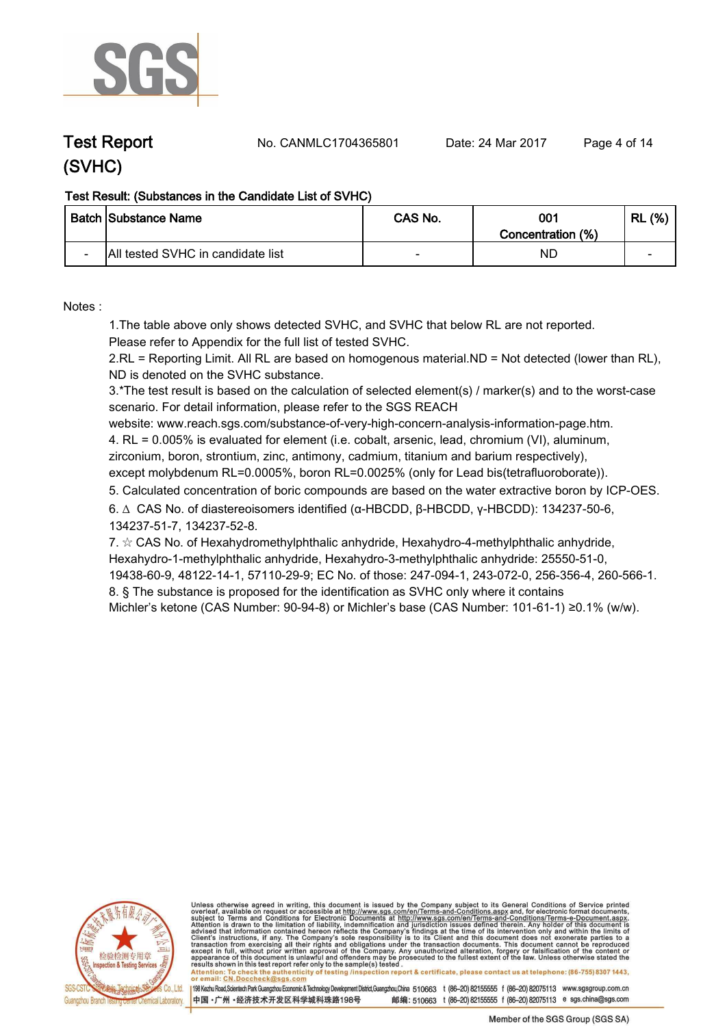

**Test Report. No. CANMLC1704365801 Date: 24 Mar 2017. Page 4 of 14.**

## **(SVHC)**

#### **Test Result: (Substances in the Candidate List of SVHC)**

|                          | <b>Batch Substance Name</b>       | CAS No. | 001<br>Concentration (%) | (% )<br>RL |
|--------------------------|-----------------------------------|---------|--------------------------|------------|
| $\overline{\phantom{0}}$ | All tested SVHC in candidate list |         | ND                       | -          |

**Notes :.**

**1.The table above only shows detected SVHC, and SVHC that below RL are not reported.** 

**Please refer to Appendix for the full list of tested SVHC.**

**2.RL = Reporting Limit. All RL are based on homogenous material.ND = Not detected (lower than RL), ND is denoted on the SVHC substance.**

**3.\*The test result is based on the calculation of selected element(s) / marker(s) and to the worst-case scenario. For detail information, please refer to the SGS REACH** 

**website: www.reach.sgs.com/substance-of-very-high-concern-analysis-information-page.htm. 4. RL = 0.005% is evaluated for element (i.e. cobalt, arsenic, lead, chromium (VI), aluminum, zirconium, boron, strontium, zinc, antimony, cadmium, titanium and barium respectively),** 

**except molybdenum RL=0.0005%, boron RL=0.0025% (only for Lead bis(tetrafluoroborate))..**

**5. Calculated concentration of boric compounds are based on the water extractive boron by ICP-OES..**

**6. ∆ CAS No. of diastereoisomers identified (α-HBCDD, β-HBCDD, γ-HBCDD): 134237-50-6, 134237-51-7, 134237-52-8.** 

**7. ☆ CAS No. of Hexahydromethylphthalic anhydride, Hexahydro-4-methylphthalic anhydride, Hexahydro-1-methylphthalic anhydride, Hexahydro-3-methylphthalic anhydride: 25550-51-0, 19438-60-9, 48122-14-1, 57110-29-9; EC No. of those: 247-094-1, 243-072-0, 256-356-4, 260-566-1.**

**8. § The substance is proposed for the identification as SVHC only where it contains Michler's ketone (CAS Number: 90-94-8) or Michler's base (CAS Number: 101-61-1) ≥0.1% (w/w)..**



Unless otherwise agreed in writing, this document is issued by the Company subject to its General Conditions of Service printed overleaf, available on request or accessible at http://www.sgs.com/en/Terms-and-Conditions.asp

resums shown in mas lost report tells with one sample(s) lesied .<br>Attention: To check the authenticity of testing /inspection report & certificate, please contact us at telephone: (86-755) 8307 1443,<br>or email: <u>CN.Doccheck</u>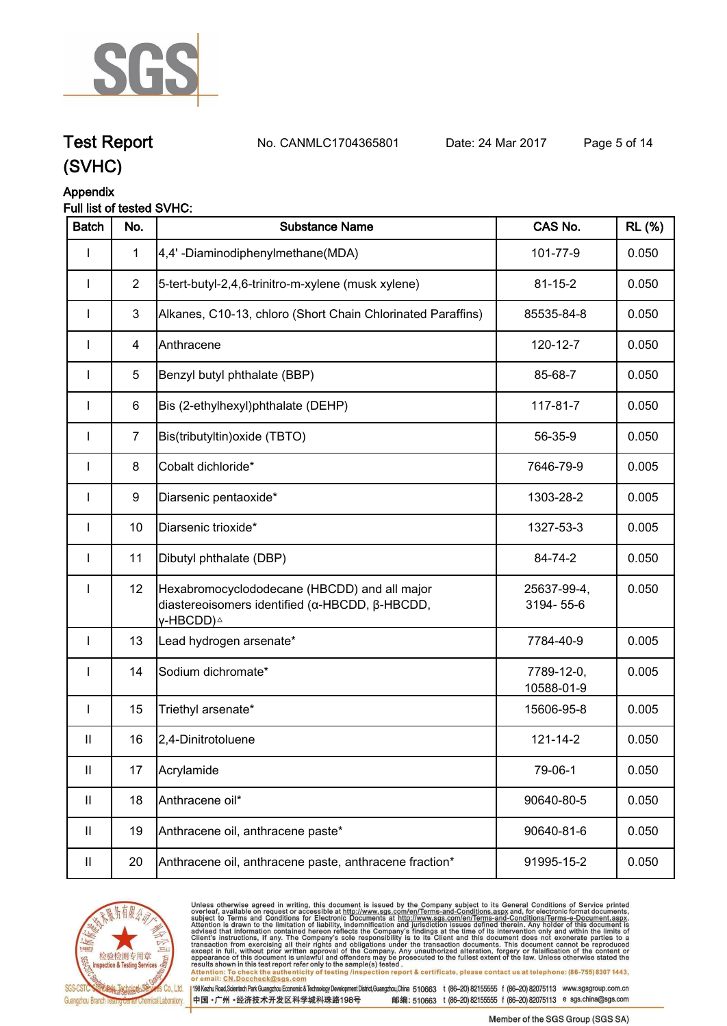

**Test Report. No. CANMLC1704365801 Date: 24 Mar 2017. Page 5 of 14.**

## **(SVHC)**

### **Appendix**

#### **Full list of tested SVHC:**

| <b>Batch</b> | No.            | <b>Substance Name</b>                                                                                                   | CAS No.                  | <b>RL</b> (%) |
|--------------|----------------|-------------------------------------------------------------------------------------------------------------------------|--------------------------|---------------|
| ı            | $\mathbf{1}$   | 4,4'-Diaminodiphenylmethane(MDA)                                                                                        | 101-77-9                 | 0.050         |
|              | $\overline{2}$ | 5-tert-butyl-2,4,6-trinitro-m-xylene (musk xylene)                                                                      | $81 - 15 - 2$            | 0.050         |
| $\mathbf{I}$ | 3              | Alkanes, C10-13, chloro (Short Chain Chlorinated Paraffins)                                                             | 85535-84-8               | 0.050         |
|              | 4              | Anthracene                                                                                                              | 120-12-7                 | 0.050         |
|              | 5              | Benzyl butyl phthalate (BBP)                                                                                            | 85-68-7                  | 0.050         |
| $\mathbf{I}$ | 6              | Bis (2-ethylhexyl)phthalate (DEHP)                                                                                      | 117-81-7                 | 0.050         |
| $\mathbf{I}$ | $\overline{7}$ | Bis(tributyltin) oxide (TBTO)                                                                                           | 56-35-9                  | 0.050         |
| $\mathbf{I}$ | 8              | Cobalt dichloride*                                                                                                      | 7646-79-9                | 0.005         |
| $\mathbf{I}$ | 9              | Diarsenic pentaoxide*                                                                                                   | 1303-28-2                | 0.005         |
| $\mathbf{I}$ | 10             | Diarsenic trioxide*                                                                                                     | 1327-53-3                | 0.005         |
| $\mathbf{I}$ | 11             | Dibutyl phthalate (DBP)                                                                                                 | 84-74-2                  | 0.050         |
| $\mathbf{I}$ | 12             | Hexabromocyclododecane (HBCDD) and all major<br>diastereoisomers identified (α-HBCDD, β-HBCDD,<br>γ-HBCDD) <sup>∆</sup> | 25637-99-4,<br>3194-55-6 | 0.050         |
| $\mathbf{I}$ | 13             | Lead hydrogen arsenate*                                                                                                 | 7784-40-9                | 0.005         |
| $\mathbf{I}$ | 14             | Sodium dichromate*                                                                                                      | 7789-12-0,<br>10588-01-9 | 0.005         |
| $\mathbf{I}$ | 15             | Triethyl arsenate*                                                                                                      | 15606-95-8               | 0.005         |
| $\mathbf{H}$ | 16             | 2,4-Dinitrotoluene                                                                                                      | $121 - 14 - 2$           | 0.050         |
| Ш            | 17             | Acrylamide                                                                                                              | 79-06-1                  | 0.050         |
| Ш            | 18             | Anthracene oil*                                                                                                         | 90640-80-5               | 0.050         |
| $\mathbf{H}$ | 19             | Anthracene oil, anthracene paste*                                                                                       | 90640-81-6               | 0.050         |
| Ш            | 20             | Anthracene oil, anthracene paste, anthracene fraction*                                                                  | 91995-15-2               | 0.050         |



Unless otherwise agreed in writing, this document is issued by the Company subject to its General Conditions of Service printed<br>overleaf, available on request or accessible at http://www.sgs.com/en/Terms-and-Conditions.asp results shown in this test report refer only to the sample(s) tested .<br>Attention: To check the authenticity of testing /inspection report & certificate, please contact us at telephone: (86-755) 8307 1443,<br>or email: <u>CN.Doc</u>

198 Kezhu Road,Scientech Park Guangzhou Economic & Technology Development District,Guangzhou,China 510663 t (86-20) 82155555 f (86-20) 82075113 www.sgsgroup.com.cn

中国·广州·经济技术开发区科学城科珠路198号 邮编: 510663 t (86-20) 82155555 f (86-20) 82075113 e sgs.china@sgs.com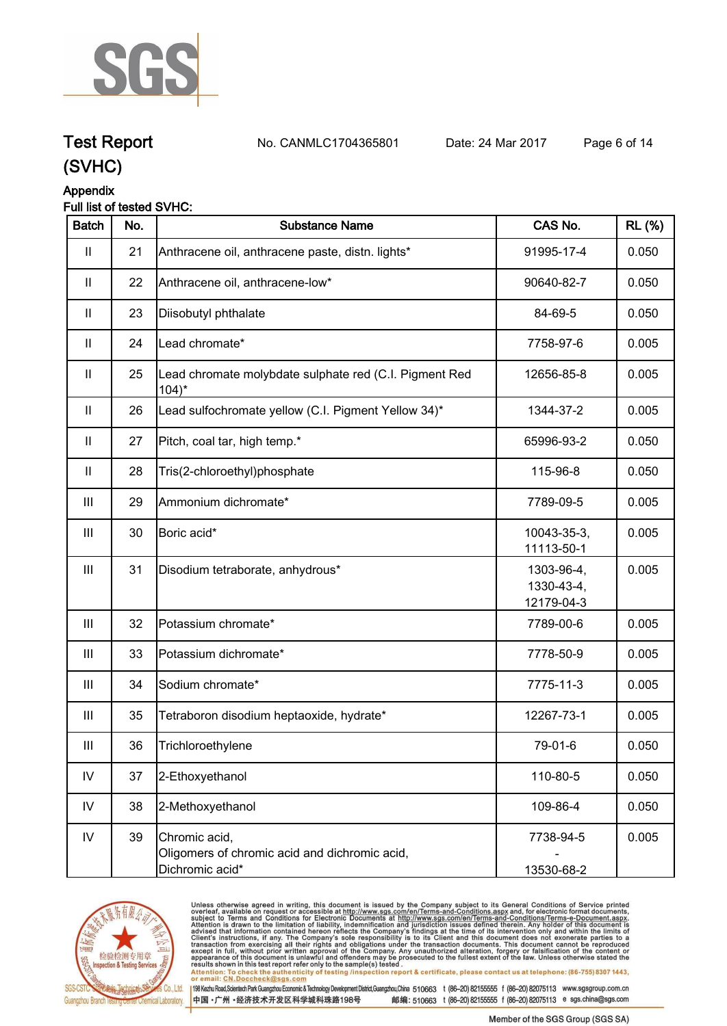

**Test Report. No. CANMLC1704365801 Date: 24 Mar 2017. Page 6 of 14.**

## **(SVHC)**

#### **Appendix**

#### **Full list of tested SVHC:**

| <b>Batch</b>                          | No. | <b>Substance Name</b>                                                             | CAS No.                                | <b>RL (%)</b> |
|---------------------------------------|-----|-----------------------------------------------------------------------------------|----------------------------------------|---------------|
| $\begin{array}{c} \hline \end{array}$ | 21  | Anthracene oil, anthracene paste, distn. lights*                                  | 91995-17-4                             | 0.050         |
| $\mathbf{II}$                         | 22  | Anthracene oil, anthracene-low*                                                   | 90640-82-7                             | 0.050         |
| $\mathbf{II}$                         | 23  | Diisobutyl phthalate                                                              | 84-69-5                                | 0.050         |
| $\mathbf{I}$                          | 24  | Lead chromate*                                                                    | 7758-97-6                              | 0.005         |
| $\mathbf{H}$                          | 25  | Lead chromate molybdate sulphate red (C.I. Pigment Red<br>$104$ <sup>*</sup>      | 12656-85-8                             | 0.005         |
| $\mathbf{H}$                          | 26  | Lead sulfochromate yellow (C.I. Pigment Yellow 34)*                               | 1344-37-2                              | 0.005         |
| $\mathbf{H}$                          | 27  | Pitch, coal tar, high temp.*                                                      | 65996-93-2                             | 0.050         |
| $\mathbf{II}$                         | 28  | Tris(2-chloroethyl)phosphate                                                      | 115-96-8                               | 0.050         |
| Ш                                     | 29  | Ammonium dichromate*                                                              | 7789-09-5                              | 0.005         |
| Ш                                     | 30  | Boric acid*                                                                       | 10043-35-3,<br>11113-50-1              | 0.005         |
| Ш                                     | 31  | Disodium tetraborate, anhydrous*                                                  | 1303-96-4,<br>1330-43-4,<br>12179-04-3 | 0.005         |
| Ш                                     | 32  | Potassium chromate*                                                               | 7789-00-6                              | 0.005         |
| Ш                                     | 33  | Potassium dichromate*                                                             | 7778-50-9                              | 0.005         |
| Ш                                     | 34  | Sodium chromate*                                                                  | 7775-11-3                              | 0.005         |
| Ш                                     | 35  | Tetraboron disodium heptaoxide, hydrate*                                          | 12267-73-1                             | 0.005         |
| Ш                                     | 36  | Trichloroethylene                                                                 | 79-01-6                                | 0.050         |
| ${\sf IV}$                            | 37  | 2-Ethoxyethanol                                                                   | 110-80-5                               | 0.050         |
| $\mathsf{IV}$                         | 38  | 2-Methoxyethanol                                                                  | 109-86-4                               | 0.050         |
| ${\sf IV}$                            | 39  | Chromic acid,<br>Oligomers of chromic acid and dichromic acid,<br>Dichromic acid* | 7738-94-5<br>13530-68-2                | 0.005         |



Unless otherwise agreed in writing, this document is issued by the Company subject to its General Conditions of Service printed<br>overleaf, available on request or accessible at http://www.sgs.com/en/Terms-and-Conditions.asp results shown in this test report refer only to the sample(s) tested .<br>Attention: To check the authenticity of testing /inspection report & certificate, please contact us at telephone: (86-755) 8307 1443,<br>or email: <u>CN.Doc</u>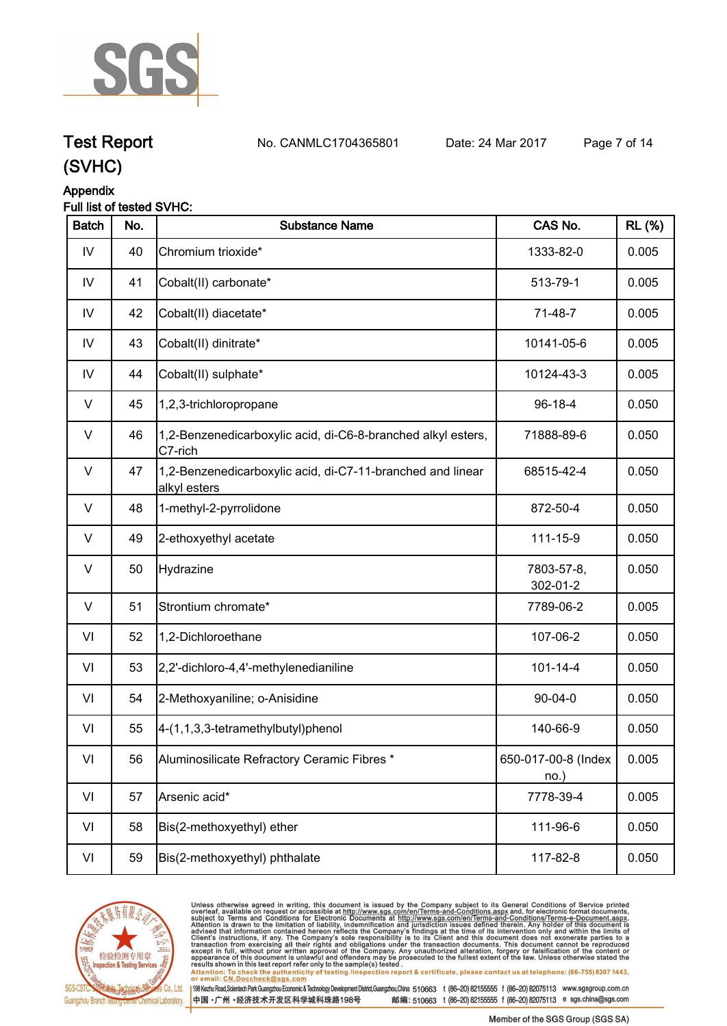

**Test Report. No. CANMLC1704365801 Date: 24 Mar 2017. Page 7 of 14.**

### **(SVHC)**

#### **Appendix**

#### **Full list of tested SVHC:**

| <b>Batch</b> | No. | <b>Substance Name</b>                                                      | CAS No.                     | <b>RL (%)</b> |
|--------------|-----|----------------------------------------------------------------------------|-----------------------------|---------------|
| IV           | 40  | Chromium trioxide*                                                         | 1333-82-0                   | 0.005         |
| ${\sf IV}$   | 41  | Cobalt(II) carbonate*                                                      | 513-79-1                    | 0.005         |
| IV           | 42  | Cobalt(II) diacetate*                                                      | 71-48-7                     | 0.005         |
| IV           | 43  | Cobalt(II) dinitrate*                                                      | 10141-05-6                  | 0.005         |
| IV           | 44  | Cobalt(II) sulphate*                                                       | 10124-43-3                  | 0.005         |
| V            | 45  | 1,2,3-trichloropropane                                                     | $96-18-4$                   | 0.050         |
| $\vee$       | 46  | 1,2-Benzenedicarboxylic acid, di-C6-8-branched alkyl esters,<br>C7-rich    | 71888-89-6                  | 0.050         |
| $\vee$       | 47  | 1,2-Benzenedicarboxylic acid, di-C7-11-branched and linear<br>alkyl esters | 68515-42-4                  | 0.050         |
| $\vee$       | 48  | 1-methyl-2-pyrrolidone                                                     | 872-50-4                    | 0.050         |
| V            | 49  | 2-ethoxyethyl acetate                                                      | 111-15-9                    | 0.050         |
| V            | 50  | Hydrazine                                                                  | 7803-57-8,<br>302-01-2      | 0.050         |
| $\vee$       | 51  | Strontium chromate*                                                        | 7789-06-2                   | 0.005         |
| VI           | 52  | 1,2-Dichloroethane                                                         | 107-06-2                    | 0.050         |
| VI           | 53  | 2,2'-dichloro-4,4'-methylenedianiline                                      | $101 - 14 - 4$              | 0.050         |
| VI           | 54  | 2-Methoxyaniline; o-Anisidine                                              | $90 - 04 - 0$               | 0.050         |
| VI           | 55  | $4-(1,1,3,3-tetramethylbutyl)$ phenol                                      | 140-66-9                    | 0.050         |
| VI           | 56  | Aluminosilicate Refractory Ceramic Fibres *                                | 650-017-00-8 (Index<br>no.) | 0.005         |
| VI           | 57  | Arsenic acid*                                                              | 7778-39-4                   | 0.005         |
| VI           | 58  | Bis(2-methoxyethyl) ether                                                  | 111-96-6                    | 0.050         |
| VI           | 59  | Bis(2-methoxyethyl) phthalate                                              | 117-82-8                    | 0.050         |



Unless otherwise agreed in writing, this document is issued by the Company subject to its General Conditions of Service printed<br>overleaf, available on request or accessible at http://www.sgs.com/en/Terms-and-Conditions.asp

results shown in this test report refer only to the sample(s) tested .<br>Attention: To check the authenticity of testing /inspection report & certificate, please contact us at telephone: (86-755) 8307 1443,<br>or email: <u>CN.Doc</u>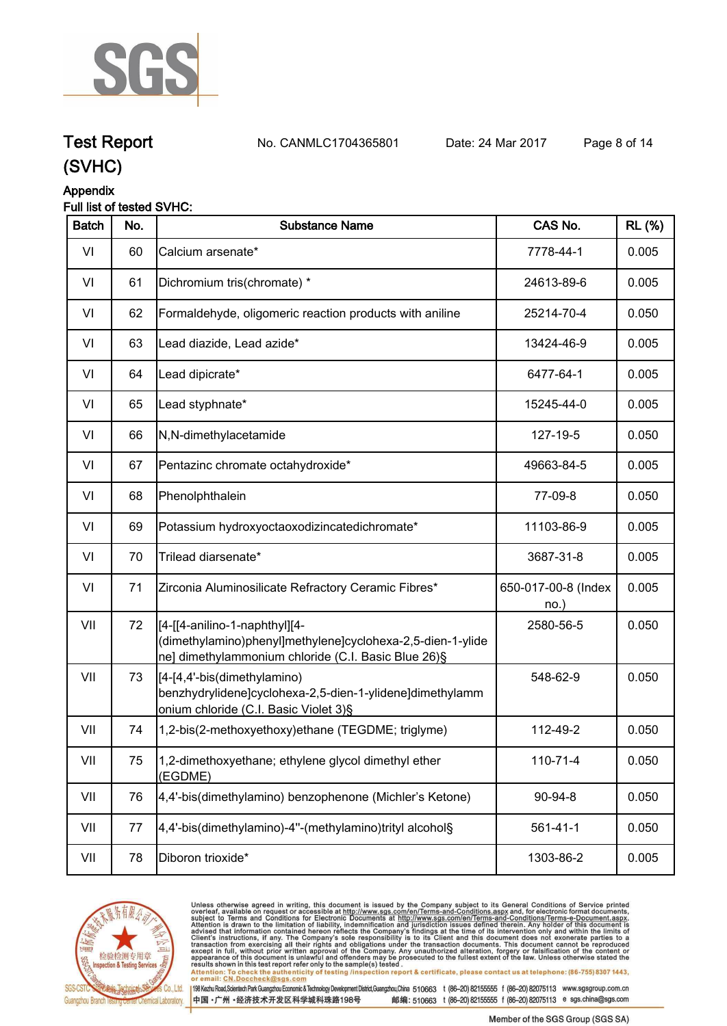

**Test Report. No. CANMLC1704365801 Date: 24 Mar 2017. Page 8 of 14.**

## **(SVHC)**

#### **Appendix**

#### **Full list of tested SVHC:**

| <b>Batch</b> | No. | <b>Substance Name</b>                                                                                                                               | CAS No.                    | <b>RL (%)</b> |
|--------------|-----|-----------------------------------------------------------------------------------------------------------------------------------------------------|----------------------------|---------------|
| VI           | 60  | Calcium arsenate*                                                                                                                                   | 7778-44-1                  | 0.005         |
| VI           | 61  | Dichromium tris(chromate) *                                                                                                                         | 24613-89-6                 | 0.005         |
| VI           | 62  | Formaldehyde, oligomeric reaction products with aniline                                                                                             | 25214-70-4                 | 0.050         |
| VI           | 63  | Lead diazide, Lead azide*                                                                                                                           | 13424-46-9                 | 0.005         |
| VI           | 64  | Lead dipicrate*                                                                                                                                     | 6477-64-1                  | 0.005         |
| VI           | 65  | Lead styphnate*                                                                                                                                     | 15245-44-0                 | 0.005         |
| VI           | 66  | N,N-dimethylacetamide                                                                                                                               | 127-19-5                   | 0.050         |
| VI           | 67  | Pentazinc chromate octahydroxide*                                                                                                                   | 49663-84-5                 | 0.005         |
| VI           | 68  | Phenolphthalein                                                                                                                                     | 77-09-8                    | 0.050         |
| VI           | 69  | Potassium hydroxyoctaoxodizincatedichromate*                                                                                                        | 11103-86-9                 | 0.005         |
| VI           | 70  | Trilead diarsenate*                                                                                                                                 | 3687-31-8                  | 0.005         |
| VI           | 71  | Zirconia Aluminosilicate Refractory Ceramic Fibres*                                                                                                 | 650-017-00-8 (Index<br>no. | 0.005         |
| VII          | 72  | [[4-[[4-anilino-1-naphthyl][4-<br>(dimethylamino)phenyl]methylene]cyclohexa-2,5-dien-1-ylide<br>ne] dimethylammonium chloride (C.I. Basic Blue 26)§ | 2580-56-5                  | 0.050         |
| VII          | 73  | [[4-[4,4'-bis(dimethylamino)<br>benzhydrylidene]cyclohexa-2,5-dien-1-ylidene]dimethylamm<br>onium chloride (C.I. Basic Violet 3)§                   | 548-62-9                   | 0.050         |
| VII          | 74  | 1,2-bis(2-methoxyethoxy)ethane (TEGDME; triglyme)                                                                                                   | 112-49-2                   | 0.050         |
| VII          | 75  | 1,2-dimethoxyethane; ethylene glycol dimethyl ether<br>(EGDME)                                                                                      | 110-71-4                   | 0.050         |
| VII          | 76  | 4,4'-bis(dimethylamino) benzophenone (Michler's Ketone)                                                                                             | 90-94-8                    | 0.050         |
| VII          | 77  | 4,4'-bis(dimethylamino)-4"-(methylamino)trityl alcohol§                                                                                             | $561 - 41 - 1$             | 0.050         |
| VII          | 78  | Diboron trioxide*                                                                                                                                   | 1303-86-2                  | 0.005         |



Unless otherwise agreed in writing, this document is issued by the Company subject to its General Conditions of Service printed<br>overleaf, available on request or accessible at http://www.sgs.com/en/Terms-and-Conditions.as

198 Kezhu Road,Scientech Park Guangzhou Economic & Technology Development District,Guangzhou,China 510663 t (86-20) 82155555 f (86-20) 82075113 www.sgsgroup.com.cn 中国·广州·经济技术开发区科学城科珠路198号 邮编: 510663 t (86-20) 82155555 f (86-20) 82075113 e sgs.china@sgs.com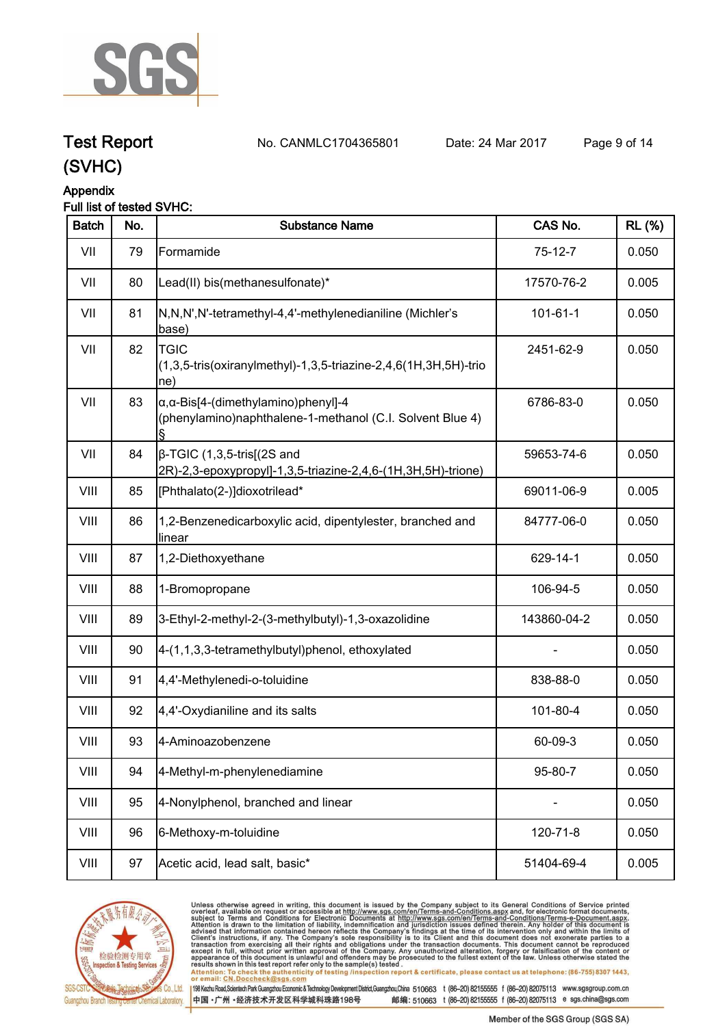

**Test Report. No. CANMLC1704365801 Date: 24 Mar 2017. Page 9 of 14.**

## **(SVHC)**

#### **Appendix**

#### **Full list of tested SVHC:**

| <b>Batch</b> | No. | <b>Substance Name</b>                                                                                            | CAS No.        | <b>RL (%)</b> |
|--------------|-----|------------------------------------------------------------------------------------------------------------------|----------------|---------------|
| VII          | 79  | Formamide                                                                                                        | $75-12-7$      | 0.050         |
| VII          | 80  | Lead(II) bis(methanesulfonate)*                                                                                  | 17570-76-2     | 0.005         |
| VII          | 81  | N,N,N',N'-tetramethyl-4,4'-methylenedianiline (Michler's<br>base)                                                | $101 - 61 - 1$ | 0.050         |
| VII          | 82  | <b>TGIC</b><br>(1,3,5-tris(oxiranylmethyl)-1,3,5-triazine-2,4,6(1H,3H,5H)-trio<br>ne)                            | 2451-62-9      | 0.050         |
| VII          | 83  | $\alpha$ , $\alpha$ -Bis[4-(dimethylamino)phenyl]-4<br>(phenylamino)naphthalene-1-methanol (C.I. Solvent Blue 4) | 6786-83-0      | 0.050         |
| VII          | 84  | $\beta$ -TGIC (1,3,5-tris[(2S and<br>2R)-2,3-epoxypropyl]-1,3,5-triazine-2,4,6-(1H,3H,5H)-trione)                | 59653-74-6     | 0.050         |
| VIII         | 85  | [Phthalato(2-)]dioxotrilead*                                                                                     | 69011-06-9     | 0.005         |
| VIII         | 86  | 1,2-Benzenedicarboxylic acid, dipentylester, branched and<br>linear                                              | 84777-06-0     | 0.050         |
| VIII         | 87  | 1,2-Diethoxyethane                                                                                               | 629-14-1       | 0.050         |
| VIII         | 88  | 1-Bromopropane                                                                                                   | 106-94-5       | 0.050         |
| VIII         | 89  | 3-Ethyl-2-methyl-2-(3-methylbutyl)-1,3-oxazolidine                                                               | 143860-04-2    | 0.050         |
| VIII         | 90  | 4-(1,1,3,3-tetramethylbutyl)phenol, ethoxylated                                                                  |                | 0.050         |
| VIII         | 91  | 4,4'-Methylenedi-o-toluidine                                                                                     | 838-88-0       | 0.050         |
| VIII         | 92  | 4,4'-Oxydianiline and its salts                                                                                  | 101-80-4       | 0.050         |
| VIII         | 93  | 4-Aminoazobenzene                                                                                                | 60-09-3        | 0.050         |
| VIII         | 94  | 4-Methyl-m-phenylenediamine                                                                                      | 95-80-7        | 0.050         |
| VIII         | 95  | 4-Nonylphenol, branched and linear                                                                               |                | 0.050         |
| VIII         | 96  | 6-Methoxy-m-toluidine                                                                                            | 120-71-8       | 0.050         |
| VIII         | 97  | Acetic acid, lead salt, basic*                                                                                   | 51404-69-4     | 0.005         |



Unless otherwise agreed in writing, this document is issued by the Company subject to its General Conditions of Service printed<br>overleaf, available on request or accessible at http://www.sgs.com/en/Terms-and-Conditions.asp Attention: To check the authenticity of testing /inspection report & certificate, please contact us at telephone: (86-755) 8307 1443,<br>Attention: To check the authenticity of testing /inspection report & certificate, please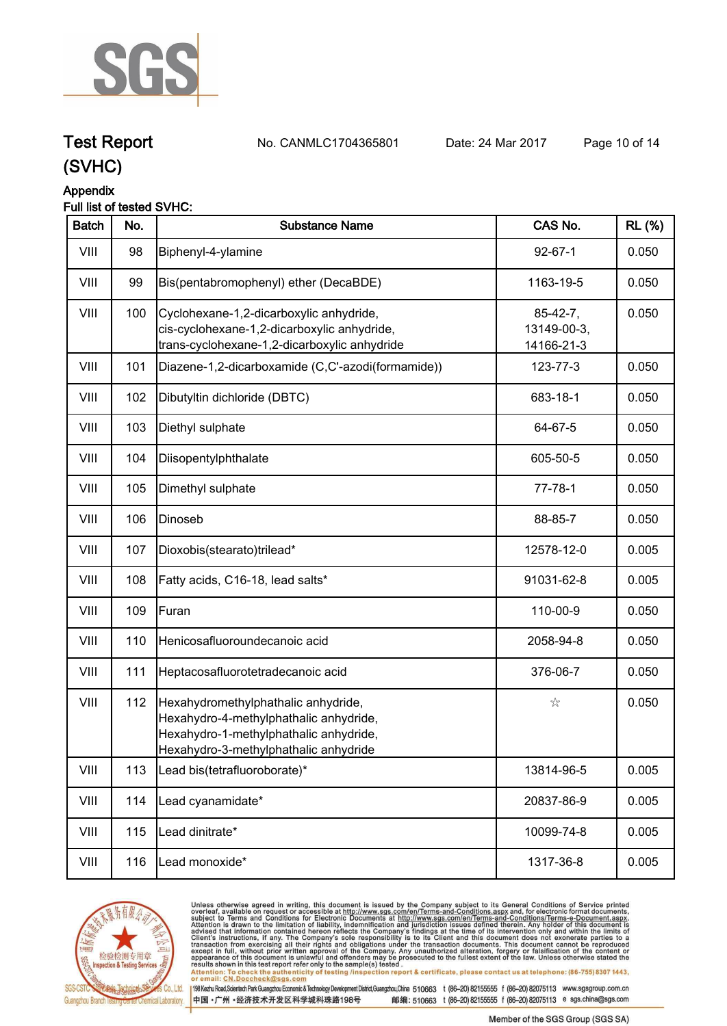

**Test Report. No. CANMLC1704365801 Date: 24 Mar 2017. Page 10 of 14.**

## **(SVHC)**

#### **Appendix**

#### **Full list of tested SVHC:**

| <b>Batch</b> | No. | <b>Substance Name</b>                                                                                                                                            | CAS No.                                 | <b>RL (%)</b> |
|--------------|-----|------------------------------------------------------------------------------------------------------------------------------------------------------------------|-----------------------------------------|---------------|
| VIII         | 98  | Biphenyl-4-ylamine                                                                                                                                               | $92 - 67 - 1$                           | 0.050         |
| VIII         | 99  | Bis(pentabromophenyl) ether (DecaBDE)                                                                                                                            | 1163-19-5                               | 0.050         |
| VIII         | 100 | Cyclohexane-1,2-dicarboxylic anhydride,<br>cis-cyclohexane-1,2-dicarboxylic anhydride,<br>trans-cyclohexane-1,2-dicarboxylic anhydride                           | $85-42-7,$<br>13149-00-3,<br>14166-21-3 | 0.050         |
| VIII         | 101 | Diazene-1,2-dicarboxamide (C,C'-azodi(formamide))                                                                                                                | 123-77-3                                | 0.050         |
| VIII         | 102 | Dibutyltin dichloride (DBTC)                                                                                                                                     | 683-18-1                                | 0.050         |
| VIII         | 103 | Diethyl sulphate                                                                                                                                                 | 64-67-5                                 | 0.050         |
| VIII         | 104 | Diisopentylphthalate                                                                                                                                             | 605-50-5                                | 0.050         |
| VIII         | 105 | Dimethyl sulphate                                                                                                                                                | $77 - 78 - 1$                           | 0.050         |
| VIII         | 106 | Dinoseb                                                                                                                                                          | 88-85-7                                 | 0.050         |
| VIII         | 107 | Dioxobis(stearato)trilead*                                                                                                                                       | 12578-12-0                              | 0.005         |
| VIII         | 108 | Fatty acids, C16-18, lead salts*                                                                                                                                 | 91031-62-8                              | 0.005         |
| VIII         | 109 | Furan                                                                                                                                                            | 110-00-9                                | 0.050         |
| VIII         | 110 | Henicosafluoroundecanoic acid                                                                                                                                    | 2058-94-8                               | 0.050         |
| VIII         | 111 | Heptacosafluorotetradecanoic acid                                                                                                                                | 376-06-7                                | 0.050         |
| VIII         | 112 | Hexahydromethylphathalic anhydride,<br>Hexahydro-4-methylphathalic anhydride,<br>Hexahydro-1-methylphathalic anhydride,<br>Hexahydro-3-methylphathalic anhydride | ☆                                       | 0.050         |
| VIII         | 113 | Lead bis(tetrafluoroborate)*                                                                                                                                     | 13814-96-5                              | 0.005         |
| VIII         | 114 | Lead cyanamidate*                                                                                                                                                | 20837-86-9                              | 0.005         |
| VIII         | 115 | Lead dinitrate*                                                                                                                                                  | 10099-74-8                              | 0.005         |
| VIII         | 116 | Lead monoxide*                                                                                                                                                   | 1317-36-8                               | 0.005         |



Unless otherwise agreed in writing, this document is issued by the Company subject to its General Conditions of Service printed<br>overleaf, available on request or accessible at http://www.sgs.com/en/Terms-and-Conditions.asp results shown in this test report refer only to the sample(s) tested .<br>Attention: To check the authenticity of testing /inspection report & certificate, please contact us at telephone: (86-755) 8307 1443,<br>or email: <u>CN.Doc</u>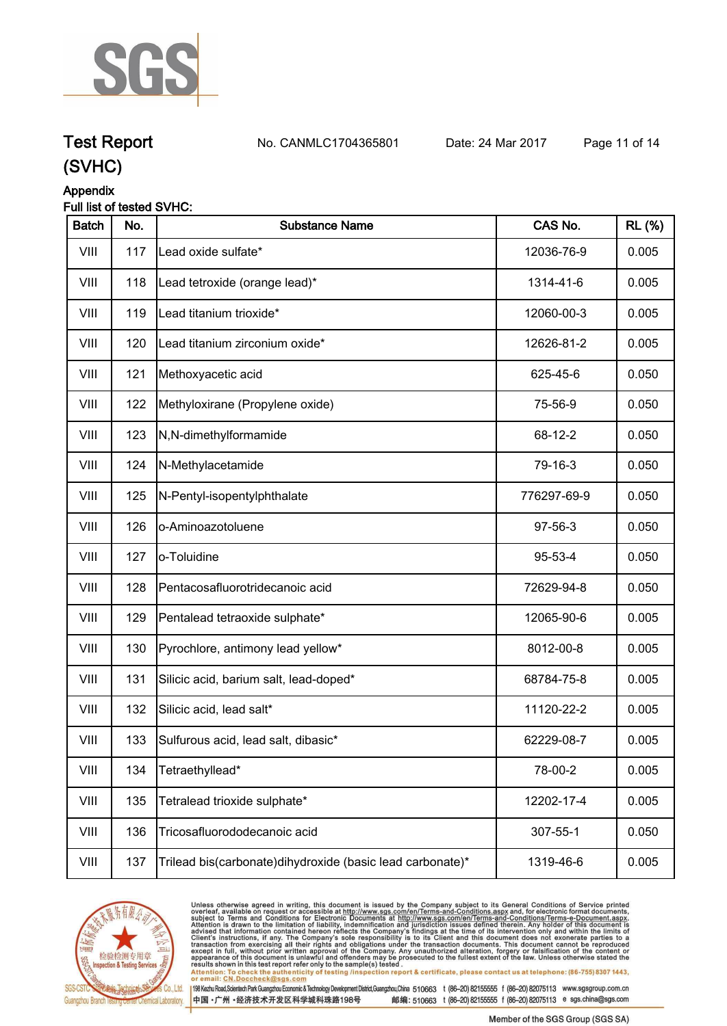

## **Test Report. No. CANMLC1704365801 Date: 24 Mar 2017. Page 11 of 14.**

### **(SVHC)**

#### **Appendix**

#### **Full list of tested SVHC:**

| <b>Batch</b> | No. | <b>Substance Name</b>                                       | CAS No.     | <b>RL (%)</b> |
|--------------|-----|-------------------------------------------------------------|-------------|---------------|
| VIII         | 117 | Lead oxide sulfate*                                         | 12036-76-9  | 0.005         |
| VIII         | 118 | Lead tetroxide (orange lead)*                               | 1314-41-6   | 0.005         |
| VIII         | 119 | Lead titanium trioxide*                                     | 12060-00-3  | 0.005         |
| VIII         | 120 | Lead titanium zirconium oxide*                              | 12626-81-2  | 0.005         |
| VIII         | 121 | Methoxyacetic acid                                          | 625-45-6    | 0.050         |
| VIII         | 122 | Methyloxirane (Propylene oxide)                             | 75-56-9     | 0.050         |
| VIII         | 123 | N,N-dimethylformamide                                       | 68-12-2     | 0.050         |
| VIII         | 124 | N-Methylacetamide                                           | 79-16-3     | 0.050         |
| VIII         | 125 | N-Pentyl-isopentylphthalate                                 | 776297-69-9 | 0.050         |
| VIII         | 126 | o-Aminoazotoluene                                           | 97-56-3     | 0.050         |
| VIII         | 127 | lo-Toluidine                                                | 95-53-4     | 0.050         |
| VIII         | 128 | Pentacosafluorotridecanoic acid                             | 72629-94-8  | 0.050         |
| VIII         | 129 | Pentalead tetraoxide sulphate*                              | 12065-90-6  | 0.005         |
| VIII         | 130 | Pyrochlore, antimony lead yellow*                           | 8012-00-8   | 0.005         |
| VIII         | 131 | Silicic acid, barium salt, lead-doped*                      | 68784-75-8  | 0.005         |
| VIII         | 132 | Silicic acid, lead salt*                                    | 11120-22-2  | 0.005         |
| VIII         | 133 | Sulfurous acid, lead salt, dibasic*                         | 62229-08-7  | 0.005         |
| VIII         | 134 | Tetraethyllead*                                             | 78-00-2     | 0.005         |
| VIII         | 135 | Tetralead trioxide sulphate*                                | 12202-17-4  | 0.005         |
| VIII         | 136 | Tricosafluorododecanoic acid                                | 307-55-1    | 0.050         |
| VIII         | 137 | Trilead bis(carbonate) dihy droxide (basic lead carbonate)* | 1319-46-6   | 0.005         |



Unless otherwise agreed in writing, this document is issued by the Company subject to its General Conditions of Service printed<br>overleaf, available on request or accessible at http://www.sgs.com/en/Terms-and-Conditions.asp results shown in this test report refer only to the sample(s) tested .<br>Attention: To check the authenticity of testing /inspection report & certificate, please contact us at telephone: (86-755) 8307 1443,<br>or email: <u>CN.Doc</u>

198 Kezhu Road,Scientech Park Guangzhou Economic & Technology Development District,Guangzhou,China 510663 t (86-20) 82155555 f (86-20) 82075113 www.sgsgroup.com.cn 中国·广州·经济技术开发区科学城科珠路198号 邮编: 510663 t (86-20) 82155555 f (86-20) 82075113 e sgs.china@sgs.com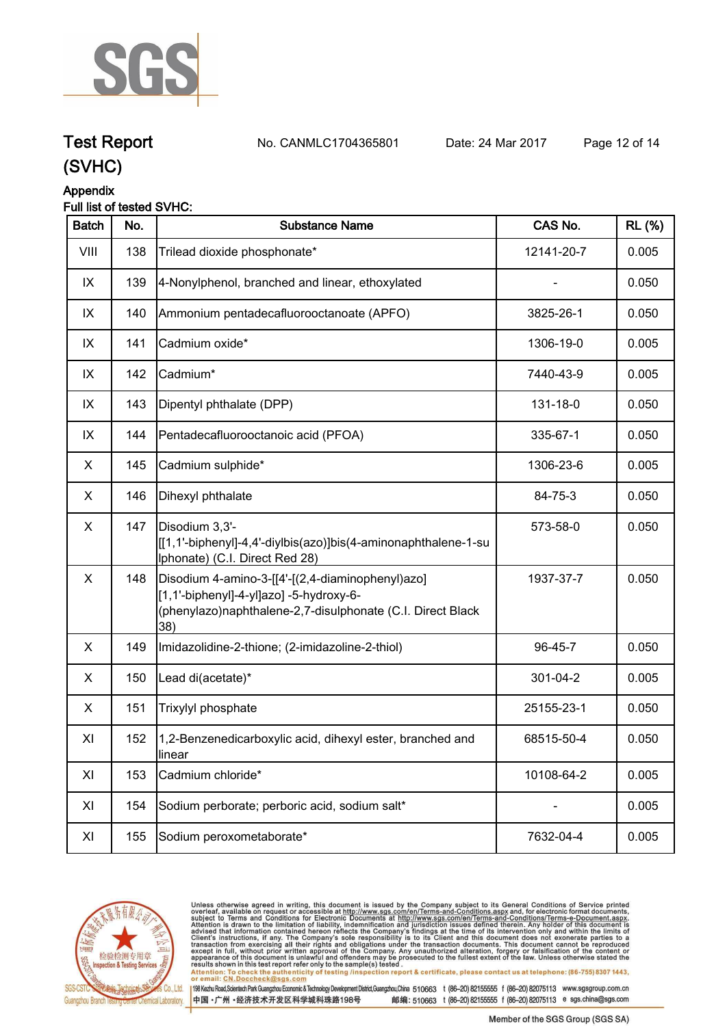

**Test Report. No. CANMLC1704365801 Date: 24 Mar 2017. Page 12 of 14.**

## **(SVHC)**

### **Appendix**

#### **Full list of tested SVHC:**

| <b>Batch</b>   | No. | <b>Substance Name</b>                                                                                                                                            | CAS No.    | <b>RL (%)</b> |
|----------------|-----|------------------------------------------------------------------------------------------------------------------------------------------------------------------|------------|---------------|
| VIII           | 138 | Trilead dioxide phosphonate*                                                                                                                                     | 12141-20-7 | 0.005         |
| IX             | 139 | 4-Nonylphenol, branched and linear, ethoxylated                                                                                                                  |            | 0.050         |
| IX             | 140 | Ammonium pentadecafluorooctanoate (APFO)                                                                                                                         | 3825-26-1  | 0.050         |
| IX             | 141 | Cadmium oxide*                                                                                                                                                   | 1306-19-0  | 0.005         |
| IX             | 142 | Cadmium*                                                                                                                                                         | 7440-43-9  | 0.005         |
| IX             | 143 | Dipentyl phthalate (DPP)                                                                                                                                         | 131-18-0   | 0.050         |
| IX             | 144 | Pentadecafluorooctanoic acid (PFOA)                                                                                                                              | 335-67-1   | 0.050         |
| X              | 145 | Cadmium sulphide*                                                                                                                                                | 1306-23-6  | 0.005         |
| X              | 146 | Dihexyl phthalate                                                                                                                                                | 84-75-3    | 0.050         |
| $\pmb{\times}$ | 147 | Disodium 3,3'-<br>[[1,1'-biphenyl]-4,4'-diylbis(azo)]bis(4-aminonaphthalene-1-su<br>Iphonate) (C.I. Direct Red 28)                                               | 573-58-0   | 0.050         |
| $\pmb{\times}$ | 148 | Disodium 4-amino-3-[[4'-[(2,4-diaminophenyl)azo]<br>[1,1'-biphenyl]-4-yl]azo] -5-hydroxy-6-<br>(phenylazo)naphthalene-2,7-disulphonate (C.I. Direct Black<br>38) | 1937-37-7  | 0.050         |
| X              | 149 | Imidazolidine-2-thione; (2-imidazoline-2-thiol)                                                                                                                  | 96-45-7    | 0.050         |
| X              | 150 | Lead di(acetate)*                                                                                                                                                | 301-04-2   | 0.005         |
| X.             | 151 | Trixylyl phosphate                                                                                                                                               | 25155-23-1 | 0.050         |
| XI             | 152 | 1,2-Benzenedicarboxylic acid, dihexyl ester, branched and<br>linear                                                                                              | 68515-50-4 | 0.050         |
| XI             | 153 | Cadmium chloride*                                                                                                                                                | 10108-64-2 | 0.005         |
| XI             | 154 | Sodium perborate; perboric acid, sodium salt*                                                                                                                    |            | 0.005         |
| XI             | 155 | Sodium peroxometaborate*                                                                                                                                         | 7632-04-4  | 0.005         |
|                |     |                                                                                                                                                                  |            |               |



Unless otherwise agreed in writing, this document is issued by the Company subject to its General Conditions of Service printed<br>overleaf, available on request or accessible at http://www.sgs.com/en/Terms-and-Conditions.asp results shown in this test report refer only to the sample(s) tested .<br>Attention: To check the authenticity of testing /inspection report & certificate, please contact us at telephone: (86-755) 8307 1443,<br>or email: <u>CN.Doc</u>

198 Kezhu Road,Scientech Park Guangzhou Economic & Technology Development District,Guangzhou,China 510663 t (86-20) 82155555 f (86-20) 82075113 www.sgsgroup.com.cn 中国·广州·经济技术开发区科学城科珠路198号 邮编: 510663 t (86-20) 82155555 f (86-20) 82075113 e sgs.china@sgs.com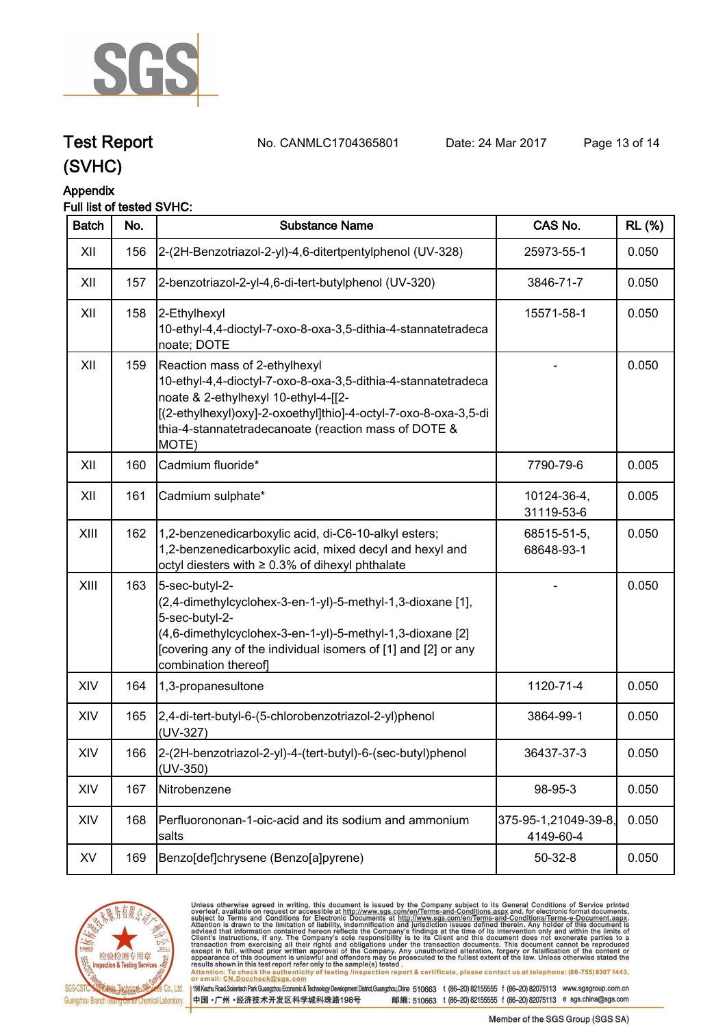

**Test Report. No. CANMLC1704365801 Date: 24 Mar 2017. Page 13 of 14.**

## **(SVHC)**

#### **Appendix**

#### **Full list of tested SVHC:**

| <b>Batch</b> | No. | <b>Substance Name</b>                                                                                                                                                                                                                                                      | CAS No.                           | <b>RL (%)</b> |
|--------------|-----|----------------------------------------------------------------------------------------------------------------------------------------------------------------------------------------------------------------------------------------------------------------------------|-----------------------------------|---------------|
| XII          | 156 | 2-(2H-Benzotriazol-2-yl)-4,6-ditertpentylphenol (UV-328)                                                                                                                                                                                                                   | 25973-55-1                        | 0.050         |
| XII          | 157 | 2-benzotriazol-2-yl-4,6-di-tert-butylphenol (UV-320)                                                                                                                                                                                                                       | 3846-71-7                         | 0.050         |
| XII          | 158 | 2-Ethylhexyl<br>10-ethyl-4,4-dioctyl-7-oxo-8-oxa-3,5-dithia-4-stannatetradeca<br>noate; DOTE                                                                                                                                                                               | 15571-58-1                        | 0.050         |
| XII          | 159 | Reaction mass of 2-ethylhexyl<br>10-ethyl-4,4-dioctyl-7-oxo-8-oxa-3,5-dithia-4-stannatetradeca<br>noate & 2-ethylhexyl 10-ethyl-4-[[2-<br>[(2-ethylhexyl)oxy]-2-oxoethyl]thio]-4-octyl-7-oxo-8-oxa-3,5-di<br>thia-4-stannatetradecanoate (reaction mass of DOTE &<br>MOTE) |                                   | 0.050         |
| XII          | 160 | Cadmium fluoride*                                                                                                                                                                                                                                                          | 7790-79-6                         | 0.005         |
| XII          | 161 | Cadmium sulphate*                                                                                                                                                                                                                                                          | 10124-36-4,<br>31119-53-6         | 0.005         |
| XIII         | 162 | 1,2-benzenedicarboxylic acid, di-C6-10-alkyl esters;<br>1,2-benzenedicarboxylic acid, mixed decyl and hexyl and<br>octyl diesters with ≥ 0.3% of dihexyl phthalate                                                                                                         | 68515-51-5,<br>68648-93-1         | 0.050         |
| XIII         | 163 | 5-sec-butyl-2-<br>(2,4-dimethylcyclohex-3-en-1-yl)-5-methyl-1,3-dioxane [1],<br>5-sec-butyl-2-<br>(4,6-dimethylcyclohex-3-en-1-yl)-5-methyl-1,3-dioxane [2]<br>[covering any of the individual isomers of [1] and [2] or any<br>combination thereof]                       |                                   | 0.050         |
| XIV          | 164 | 1,3-propanesultone                                                                                                                                                                                                                                                         | 1120-71-4                         | 0.050         |
| XIV          | 165 | 2,4-di-tert-butyl-6-(5-chlorobenzotriazol-2-yl)phenol<br>(UV-327)                                                                                                                                                                                                          | 3864-99-1                         | 0.050         |
| XIV          | 166 | 2-(2H-benzotriazol-2-yl)-4-(tert-butyl)-6-(sec-butyl)phenol<br>$(UV-350)$                                                                                                                                                                                                  | 36437-37-3                        | 0.050         |
| XIV          | 167 | Nitrobenzene                                                                                                                                                                                                                                                               | 98-95-3                           | 0.050         |
| XIV          | 168 | Perfluorononan-1-oic-acid and its sodium and ammonium<br>salts                                                                                                                                                                                                             | 375-95-1,21049-39-8,<br>4149-60-4 | 0.050         |
| XV           | 169 | Benzo[def]chrysene (Benzo[a]pyrene)                                                                                                                                                                                                                                        | $50 - 32 - 8$                     | 0.050         |



Unless otherwise agreed in writing, this document is issued by the Company subject to its General Conditions of Service printed<br>overleaf, available on request or accessible at http://www.sgs.com/en/Terms-and-Conditions.asp results shown in this test report refer only to the sample(s) tested .<br>Attention: To check the authenticity of testing /inspection report & certificate, please contact us at telephone: (86-755) 8307 1443,<br>or email: <u>CN.Doc</u>